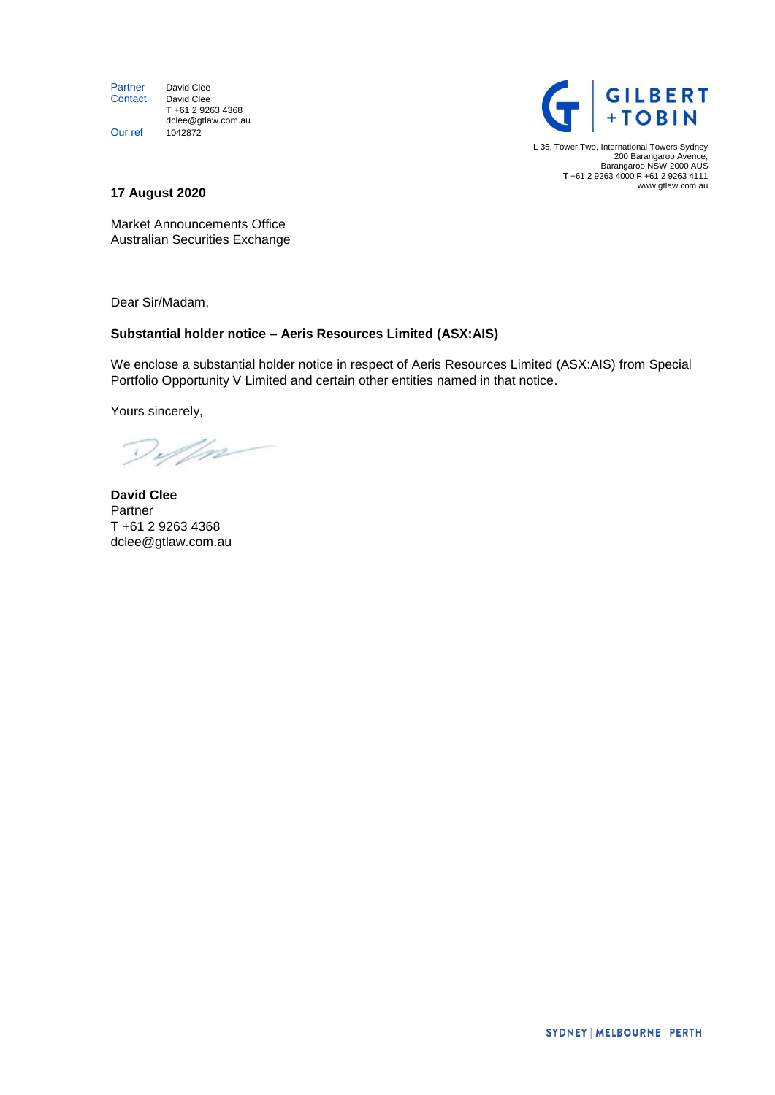Partner David Clee<br>Contact David Clee David Clee T +61 2 9263 4368 dclee@gtlaw.com.au Our ref 1042872



L 35, Tower Two, International Towers Sydney 200 Barangaroo Avenue, Barangaroo NSW 2000 AUS **T** +61 2 9263 4000 **F** +61 2 9263 4111 ww[w.gtlaw.com.au](http://www.gtlaw.com.au/)

# **17 August 2020**

Market Announcements Office Australian Securities Exchange

Dear Sir/Madam,

# **Substantial holder notice – Aeris Resources Limited (ASX:AIS)**

We enclose a substantial holder notice in respect of Aeris Resources Limited (ASX:AIS) from Special Portfolio Opportunity V Limited and certain other entities named in that notice.

Yours sincerely,

Deffn

**David Clee**  Partner T +61 2 9263 4368 dclee@gtlaw.com.au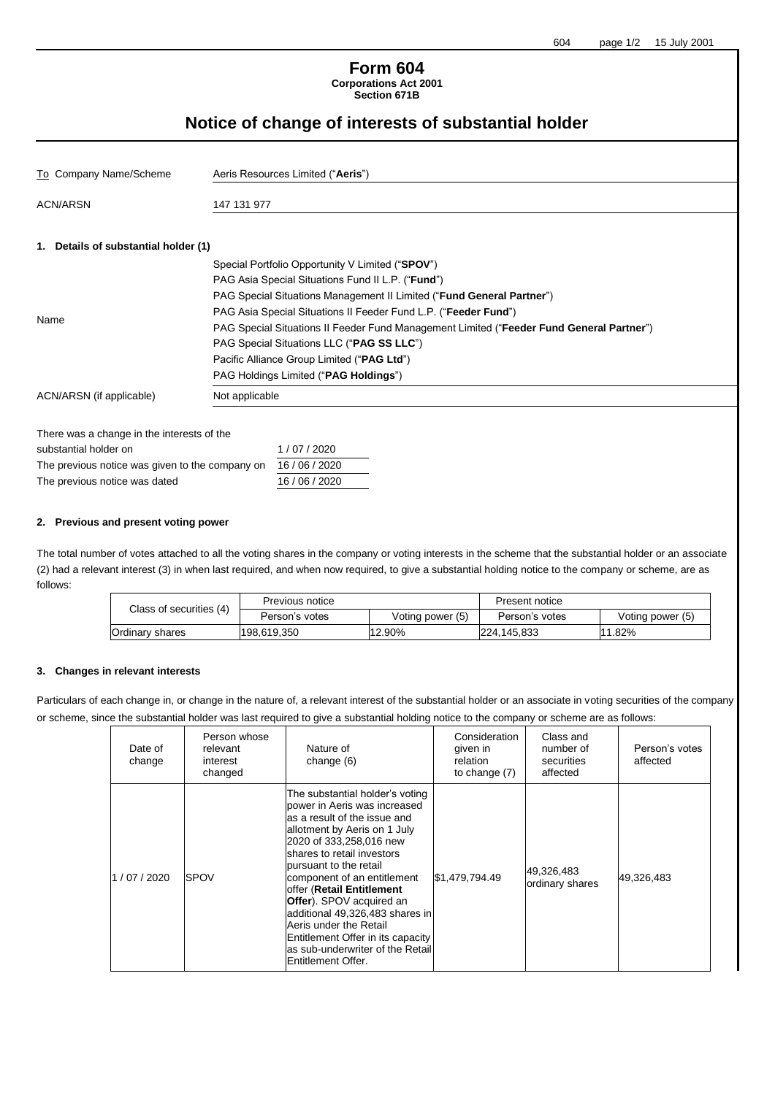## **Form 604 Corporations Act 2001 Section 671B**

# **Notice of change of interests of substantial holder**

| To Company Name/Scheme                          | Aeris Resources Limited ("Aeris")                                                        |  |  |  |  |  |
|-------------------------------------------------|------------------------------------------------------------------------------------------|--|--|--|--|--|
| <b>ACN/ARSN</b>                                 | 147 131 977                                                                              |  |  |  |  |  |
| 1. Details of substantial holder (1)            |                                                                                          |  |  |  |  |  |
|                                                 | Special Portfolio Opportunity V Limited ("SPOV")                                         |  |  |  |  |  |
|                                                 | PAG Asia Special Situations Fund II L.P. ("Fund")                                        |  |  |  |  |  |
|                                                 | PAG Special Situations Management II Limited ("Fund General Partner")                    |  |  |  |  |  |
|                                                 | PAG Asia Special Situations II Feeder Fund L.P. ("Feeder Fund")                          |  |  |  |  |  |
| Name                                            | PAG Special Situations II Feeder Fund Management Limited ("Feeder Fund General Partner") |  |  |  |  |  |
|                                                 | PAG Special Situations LLC ("PAG SS LLC")                                                |  |  |  |  |  |
|                                                 | Pacific Alliance Group Limited ("PAG Ltd")                                               |  |  |  |  |  |
|                                                 | PAG Holdings Limited ("PAG Holdings")                                                    |  |  |  |  |  |
| ACN/ARSN (if applicable)                        | Not applicable                                                                           |  |  |  |  |  |
|                                                 |                                                                                          |  |  |  |  |  |
| There was a change in the interests of the      |                                                                                          |  |  |  |  |  |
| substantial holder on                           | 1/07/2020                                                                                |  |  |  |  |  |
| The previous notice was given to the company on | 16 / 06 / 2020                                                                           |  |  |  |  |  |
| The previous notice was dated                   | 16 / 06 / 2020                                                                           |  |  |  |  |  |

## **2. Previous and present voting power**

The total number of votes attached to all the voting shares in the company or voting interests in the scheme that the substantial holder or an associate (2) had a relevant interest (3) in when last required, and when now required, to give a substantial holding notice to the company or scheme, are as follows:

| Class of securities (4) | Previous notice |                  | Present notice |                  |
|-------------------------|-----------------|------------------|----------------|------------------|
|                         | Person's votes  | Voting power (5) | Person's votes | Voting power (5) |
| Ordinary shares         | 198,619,350     | 12.90%           | 224.145.833    | $11.82\%$        |

#### **3. Changes in relevant interests**

Particulars of each change in, or change in the nature of, a relevant interest of the substantial holder or an associate in voting securities of the company or or scheme, since the substantial holder was last required to give a substantial holding notice to the company or scheme are as follows:

| Date of<br>change | Person whose<br>relevant<br>interest<br>changed | Nature of<br>change $(6)$                                                                                                                                                                                                                                                                                                                                                                                                                                                              | Consideration<br>given in<br>relation<br>to change (7) | Class and<br>number of<br>securities<br>affected | Person's votes<br>affected |
|-------------------|-------------------------------------------------|----------------------------------------------------------------------------------------------------------------------------------------------------------------------------------------------------------------------------------------------------------------------------------------------------------------------------------------------------------------------------------------------------------------------------------------------------------------------------------------|--------------------------------------------------------|--------------------------------------------------|----------------------------|
| 1/07/2020         | <b>SPOV</b>                                     | The substantial holder's voting<br>power in Aeris was increased<br>as a result of the issue and<br>allotment by Aeris on 1 July<br>2020 of 333.258.016 new<br>shares to retail investors<br>bursuant to the retail<br>component of an entitlement<br>offer (Retail Entitlement<br><b>Offer</b> ). SPOV acquired an<br>additional 49,326,483 shares in<br>Aeris under the Retail<br>Entitlement Offer in its capacity<br>as sub-underwriter of the Retail<br><b>IEntitlement Offer.</b> | \$1,479,794.49                                         | 49,326,483<br>ordinary shares                    | 49,326,483                 |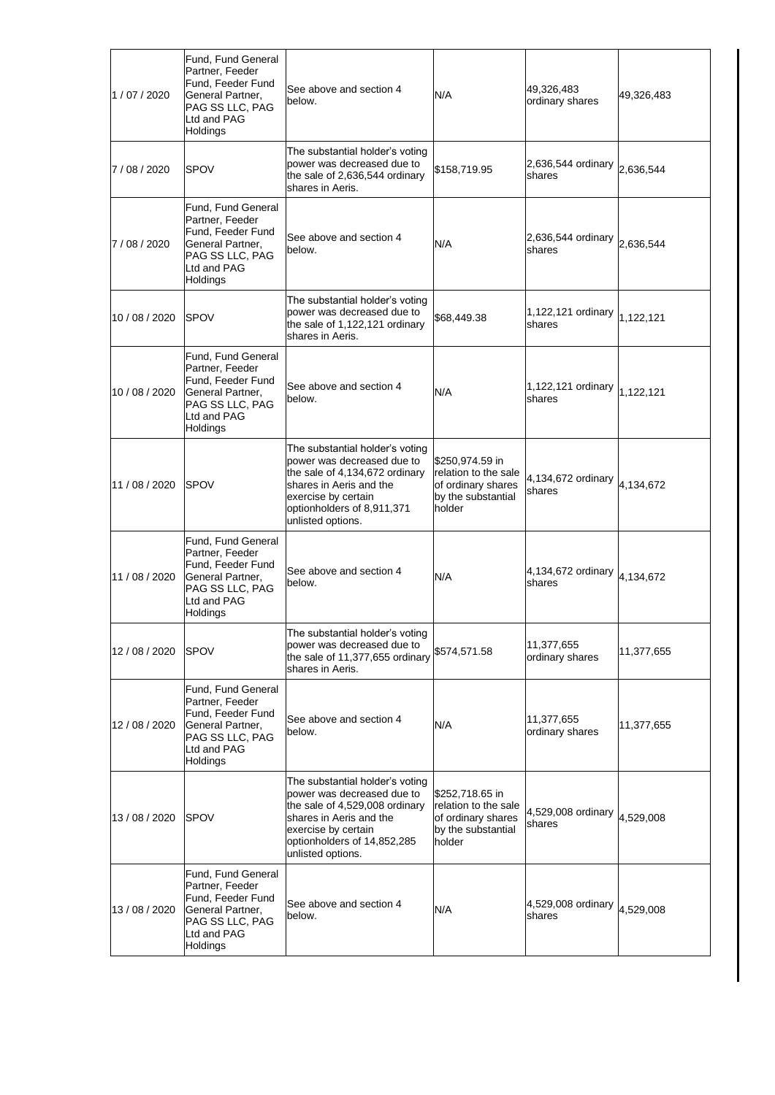| 1/07/2020      | Fund, Fund General<br>Partner, Feeder<br>Fund, Feeder Fund<br>General Partner,<br>PAG SS LLC, PAG<br>Ltd and PAG<br>Holdings | See above and section 4<br>below.                                                                                                                                                                     | N/A                                                                                           | 49,326,483<br>ordinary shares | 49,326,483 |
|----------------|------------------------------------------------------------------------------------------------------------------------------|-------------------------------------------------------------------------------------------------------------------------------------------------------------------------------------------------------|-----------------------------------------------------------------------------------------------|-------------------------------|------------|
| 7 / 08 / 2020  | <b>SPOV</b>                                                                                                                  | The substantial holder's voting<br>power was decreased due to<br>the sale of 2,636,544 ordinary<br>shares in Aeris.                                                                                   | \$158,719.95                                                                                  | 2,636,544 ordinary<br>shares  | 2,636,544  |
| 7/08/2020      | Fund, Fund General<br>Partner, Feeder<br>Fund, Feeder Fund<br>General Partner,<br>PAG SS LLC, PAG<br>Ltd and PAG<br>Holdings | See above and section 4<br>below.                                                                                                                                                                     | N/A                                                                                           | 2,636,544 ordinary<br>shares  | 2,636,544  |
| 10 / 08 / 2020 | <b>ISPOV</b>                                                                                                                 | The substantial holder's voting<br>power was decreased due to<br>the sale of 1,122,121 ordinary<br>shares in Aeris.                                                                                   | \$68,449.38                                                                                   | 1,122,121 ordinary<br>shares  | 1,122,121  |
| 10 / 08 / 2020 | Fund, Fund General<br>Partner, Feeder<br>Fund, Feeder Fund<br>General Partner,<br>PAG SS LLC, PAG<br>Ltd and PAG<br>Holdings | See above and section 4<br>below.                                                                                                                                                                     | N/A                                                                                           | 1,122,121 ordinary<br>shares  | 1,122,121  |
| 11 / 08 / 2020 | <b>SPOV</b>                                                                                                                  | The substantial holder's voting<br>power was decreased due to<br>the sale of 4,134,672 ordinary<br>shares in Aeris and the<br>exercise by certain<br>optionholders of 8,911,371<br>unlisted options.  | \$250,974.59 in<br>relation to the sale<br>of ordinary shares<br>by the substantial<br>holder | 4,134,672 ordinary<br>shares  | 4,134,672  |
| 11 / 08 / 2020 | Fund, Fund General<br>Partner, Feeder<br>Fund, Feeder Fund<br>General Partner,<br>PAG SS LLC, PAG<br>Ltd and PAG<br>Holdings | See above and section 4<br>below.                                                                                                                                                                     | N/A                                                                                           | 4,134,672 ordinary<br>shares  | 4,134,672  |
| 12 / 08 / 2020 | <b>SPOV</b>                                                                                                                  | The substantial holder's voting<br>power was decreased due to<br>the sale of 11,377,655 ordinary<br>shares in Aeris.                                                                                  | \$574,571.58                                                                                  | 11,377,655<br>ordinary shares | 11,377,655 |
| 12 / 08 / 2020 | Fund, Fund General<br>Partner, Feeder<br>Fund, Feeder Fund<br>General Partner,<br>PAG SS LLC, PAG<br>Ltd and PAG<br>Holdings | See above and section 4<br>below.                                                                                                                                                                     | N/A                                                                                           | 11,377,655<br>ordinary shares | 11,377,655 |
| 13 / 08 / 2020 | <b>SPOV</b>                                                                                                                  | The substantial holder's voting<br>power was decreased due to<br>the sale of 4,529,008 ordinary<br>shares in Aeris and the<br>exercise by certain<br>optionholders of 14,852,285<br>unlisted options. | \$252,718.65 in<br>relation to the sale<br>of ordinary shares<br>by the substantial<br>holder | 4,529,008 ordinary<br>shares  | 4,529,008  |
| 13 / 08 / 2020 | Fund, Fund General<br>Partner, Feeder<br>Fund, Feeder Fund<br>General Partner,<br>PAG SS LLC, PAG<br>Ltd and PAG<br>Holdings | See above and section 4<br>below.                                                                                                                                                                     | N/A                                                                                           | 4,529,008 ordinary<br>shares  | 4,529,008  |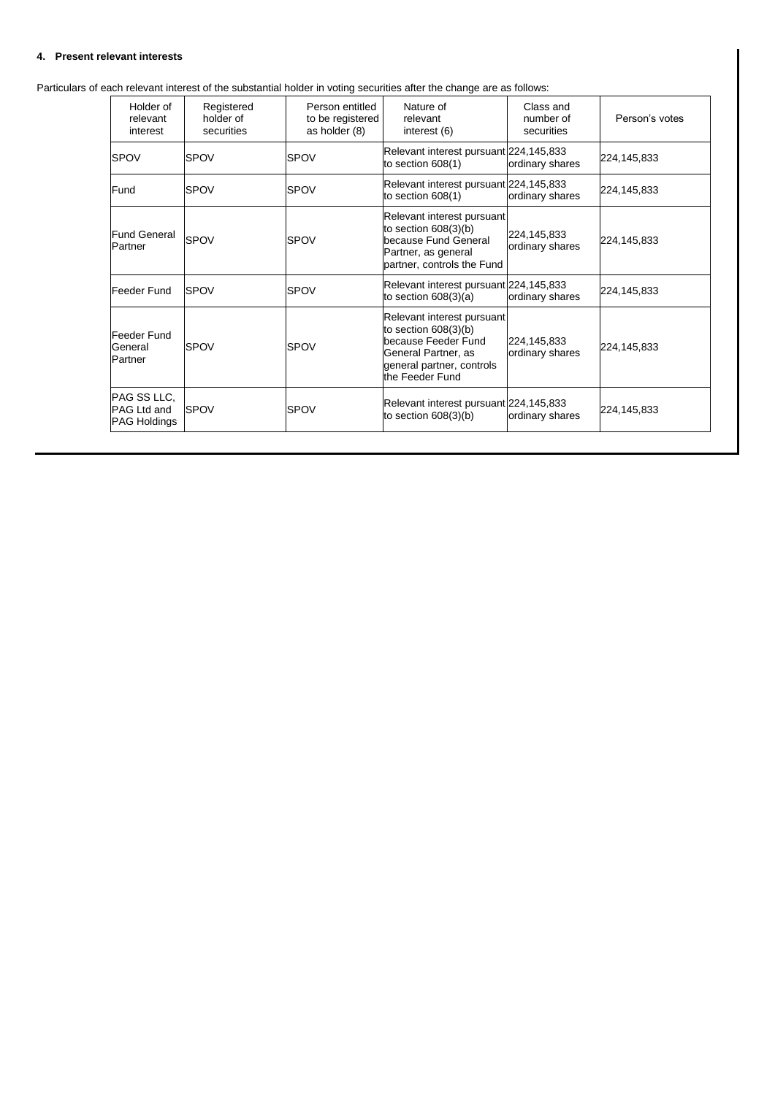## **4. Present relevant interests**

Particulars of each relevant interest of the substantial holder in voting securities after the change are as follows:

| Holder of<br>relevant<br>interest                 | Registered<br>holder of<br>securities | Person entitled<br>to be registered<br>as holder (8) | Nature of<br>relevant<br>interest (6)                                                                                                            | Class and<br>number of<br>securities | Person's votes |
|---------------------------------------------------|---------------------------------------|------------------------------------------------------|--------------------------------------------------------------------------------------------------------------------------------------------------|--------------------------------------|----------------|
| <b>SPOV</b>                                       | <b>SPOV</b>                           | <b>SPOV</b>                                          | Relevant interest pursuant 224,145,833<br>to section 608(1)                                                                                      | ordinary shares                      | 224,145,833    |
| Fund                                              | <b>SPOV</b>                           | <b>SPOV</b>                                          | Relevant interest pursuant 224,145,833<br>to section 608(1)                                                                                      | ordinary shares                      | 224,145,833    |
| <b>Fund General</b><br>Partner                    | SPOV                                  | <b>SPOV</b>                                          | Relevant interest pursuant<br>to section $608(3)(b)$<br>because Fund General<br>Partner, as general<br>partner, controls the Fund                | 224,145,833<br>ordinary shares       | 224,145,833    |
| Feeder Fund                                       | <b>SPOV</b>                           | <b>SPOV</b>                                          | Relevant interest pursuant 224,145,833<br>to section $608(3)(a)$                                                                                 | ordinary shares                      | 224,145,833    |
| Feeder Fund<br>General<br>Partner                 | <b>SPOV</b>                           | <b>SPOV</b>                                          | Relevant interest pursuant<br>to section 608(3)(b)<br>because Feeder Fund<br>General Partner, as<br>general partner, controls<br>the Feeder Fund | 224,145,833<br>ordinary shares       | 224,145,833    |
| PAG SS LLC,<br>PAG Ltd and<br><b>PAG Holdings</b> | <b>SPOV</b>                           | <b>SPOV</b>                                          | Relevant interest pursuant 224,145,833<br>to section $608(3)(b)$                                                                                 | ordinary shares                      | 224,145,833    |